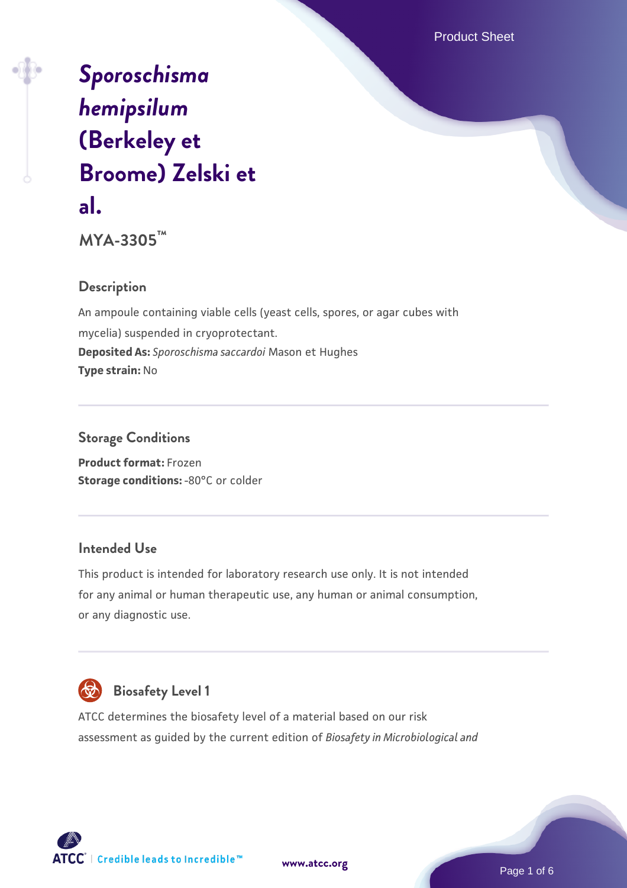Product Sheet

# *[Sporoschisma](https://www.atcc.org/products/mya-3305) [hemipsilum](https://www.atcc.org/products/mya-3305)* **[\(Berkeley et](https://www.atcc.org/products/mya-3305) [Broome\) Zelski et](https://www.atcc.org/products/mya-3305) [al.](https://www.atcc.org/products/mya-3305)**

**MYA-3305™**

# **Description**

An ampoule containing viable cells (yeast cells, spores, or agar cubes with mycelia) suspended in cryoprotectant. **Deposited As:** *Sporoschisma saccardoi* Mason et Hughes **Type strain:** No

## **Storage Conditions**

**Product format:** Frozen **Storage conditions: -80°C or colder** 

## **Intended Use**

This product is intended for laboratory research use only. It is not intended for any animal or human therapeutic use, any human or animal consumption, or any diagnostic use.



# **Biosafety Level 1**

ATCC determines the biosafety level of a material based on our risk assessment as guided by the current edition of *Biosafety in Microbiological and*

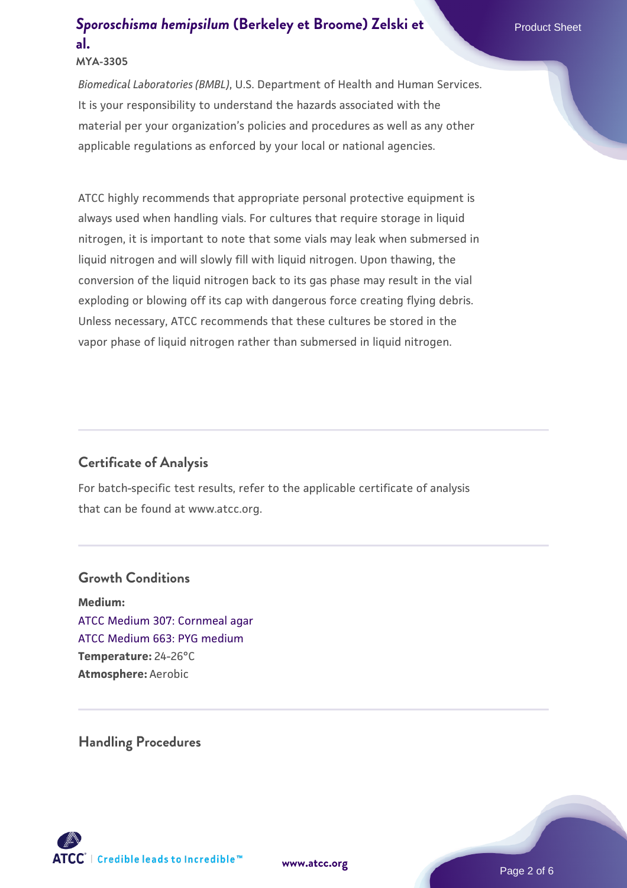#### **MYA-3305**

*Biomedical Laboratories (BMBL)*, U.S. Department of Health and Human Services. It is your responsibility to understand the hazards associated with the material per your organization's policies and procedures as well as any other applicable regulations as enforced by your local or national agencies.

ATCC highly recommends that appropriate personal protective equipment is always used when handling vials. For cultures that require storage in liquid nitrogen, it is important to note that some vials may leak when submersed in liquid nitrogen and will slowly fill with liquid nitrogen. Upon thawing, the conversion of the liquid nitrogen back to its gas phase may result in the vial exploding or blowing off its cap with dangerous force creating flying debris. Unless necessary, ATCC recommends that these cultures be stored in the vapor phase of liquid nitrogen rather than submersed in liquid nitrogen.

#### **Certificate of Analysis**

For batch-specific test results, refer to the applicable certificate of analysis that can be found at www.atcc.org.

#### **Growth Conditions**

**Medium:**  [ATCC Medium 307: Cornmeal agar](https://www.atcc.org/-/media/product-assets/documents/microbial-media-formulations/3/0/7/atcc-medium-307.pdf?rev=5cd8aaa5fcde44f5873396cc2a06f590) [ATCC Medium 663: PYG medium](https://www.atcc.org/-/media/product-assets/documents/microbial-media-formulations/6/6/3/atcc-medium-663.pdf?rev=39d2fb8d4f224afdb850fb1c1ce4c471) **Temperature:** 24-26°C **Atmosphere:** Aerobic

**Handling Procedures**

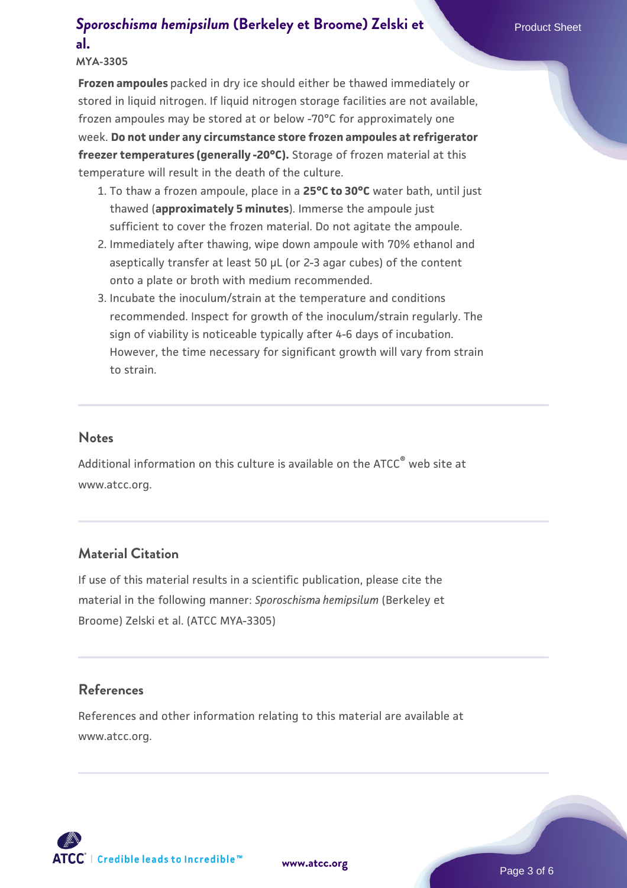#### **MYA-3305**

**Frozen ampoules** packed in dry ice should either be thawed immediately or stored in liquid nitrogen. If liquid nitrogen storage facilities are not available, frozen ampoules may be stored at or below -70°C for approximately one week. **Do not under any circumstance store frozen ampoules at refrigerator freezer temperatures (generally -20°C).** Storage of frozen material at this temperature will result in the death of the culture.

- 1. To thaw a frozen ampoule, place in a **25°C to 30°C** water bath, until just thawed (**approximately 5 minutes**). Immerse the ampoule just sufficient to cover the frozen material. Do not agitate the ampoule.
- 2. Immediately after thawing, wipe down ampoule with 70% ethanol and aseptically transfer at least 50 µL (or 2-3 agar cubes) of the content onto a plate or broth with medium recommended.
- 3. Incubate the inoculum/strain at the temperature and conditions recommended. Inspect for growth of the inoculum/strain regularly. The sign of viability is noticeable typically after 4-6 days of incubation. However, the time necessary for significant growth will vary from strain to strain.

#### **Notes**

Additional information on this culture is available on the ATCC<sup>®</sup> web site at www.atcc.org.

#### **Material Citation**

If use of this material results in a scientific publication, please cite the material in the following manner: *Sporoschisma hemipsilum* (Berkeley et Broome) Zelski et al. (ATCC MYA-3305)

#### **References**

References and other information relating to this material are available at www.atcc.org.



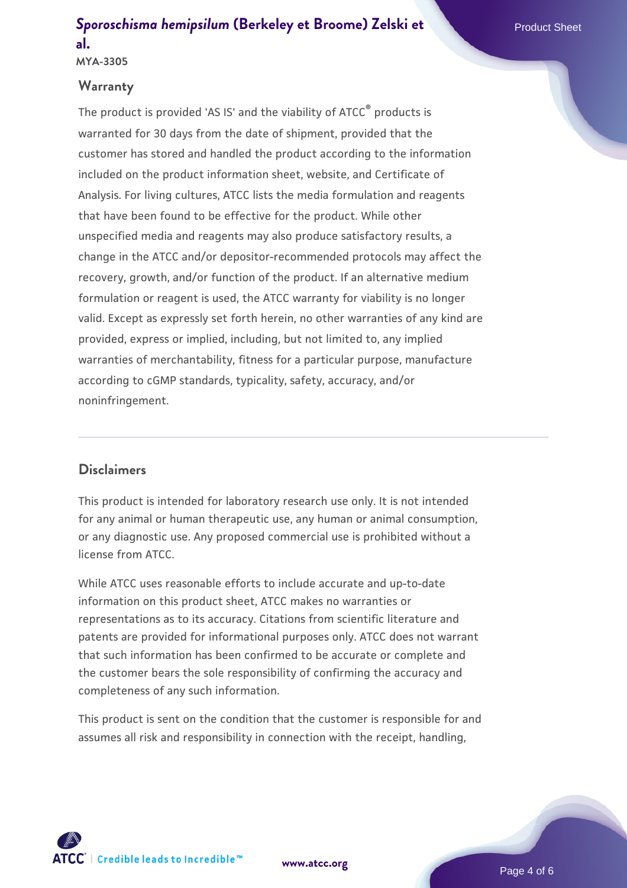#### **Warranty**

The product is provided 'AS IS' and the viability of ATCC® products is warranted for 30 days from the date of shipment, provided that the customer has stored and handled the product according to the information included on the product information sheet, website, and Certificate of Analysis. For living cultures, ATCC lists the media formulation and reagents that have been found to be effective for the product. While other unspecified media and reagents may also produce satisfactory results, a change in the ATCC and/or depositor-recommended protocols may affect the recovery, growth, and/or function of the product. If an alternative medium formulation or reagent is used, the ATCC warranty for viability is no longer valid. Except as expressly set forth herein, no other warranties of any kind are provided, express or implied, including, but not limited to, any implied warranties of merchantability, fitness for a particular purpose, manufacture according to cGMP standards, typicality, safety, accuracy, and/or noninfringement.

#### **Disclaimers**

This product is intended for laboratory research use only. It is not intended for any animal or human therapeutic use, any human or animal consumption, or any diagnostic use. Any proposed commercial use is prohibited without a license from ATCC.

While ATCC uses reasonable efforts to include accurate and up-to-date information on this product sheet, ATCC makes no warranties or representations as to its accuracy. Citations from scientific literature and patents are provided for informational purposes only. ATCC does not warrant that such information has been confirmed to be accurate or complete and the customer bears the sole responsibility of confirming the accuracy and completeness of any such information.

This product is sent on the condition that the customer is responsible for and assumes all risk and responsibility in connection with the receipt, handling,



**[www.atcc.org](http://www.atcc.org)**

Page 4 of 6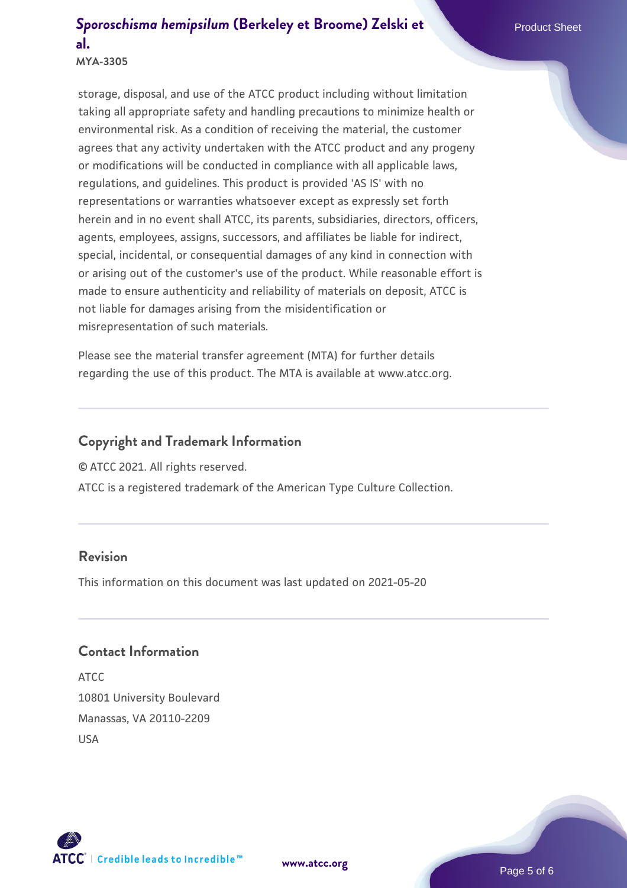**MYA-3305**

storage, disposal, and use of the ATCC product including without limitation taking all appropriate safety and handling precautions to minimize health or environmental risk. As a condition of receiving the material, the customer agrees that any activity undertaken with the ATCC product and any progeny or modifications will be conducted in compliance with all applicable laws, regulations, and guidelines. This product is provided 'AS IS' with no representations or warranties whatsoever except as expressly set forth herein and in no event shall ATCC, its parents, subsidiaries, directors, officers, agents, employees, assigns, successors, and affiliates be liable for indirect, special, incidental, or consequential damages of any kind in connection with or arising out of the customer's use of the product. While reasonable effort is made to ensure authenticity and reliability of materials on deposit, ATCC is not liable for damages arising from the misidentification or misrepresentation of such materials.

Please see the material transfer agreement (MTA) for further details regarding the use of this product. The MTA is available at www.atcc.org.

## **Copyright and Trademark Information**

© ATCC 2021. All rights reserved.

ATCC is a registered trademark of the American Type Culture Collection.

#### **Revision**

This information on this document was last updated on 2021-05-20

#### **Contact Information**

ATCC 10801 University Boulevard Manassas, VA 20110-2209 USA